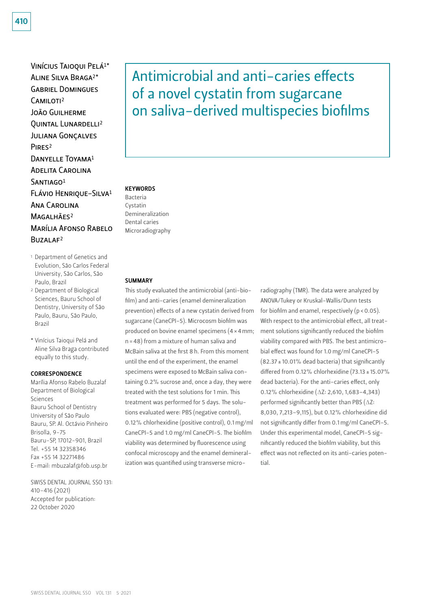Vinícius Taioqui Pelá1\* Aline Silva Braga2\* Gabriel Domingues CAMILOTI<sup>2</sup> João Guilherme Quintal Lunardelli2 Juliana Gonçalves PIR<sub>FS<sup>2</sup></sub> DANYELLE TOYAMA<sup>1</sup> Adelita Carolina  $SANTIAGO<sup>1</sup>$ Flávio Henrique-Silva1 Ana Carolina MAGALHÃES<sup>2</sup> Marília Afonso Rabelo Buzalaf2

- 1 Department of Genetics and Evolution, São Carlos Federal University, São Carlos, São Paulo, Brazil
- 2 Department of Biological Sciences, Bauru School of Dentistry, University of São Paulo, Bauru, São Paulo, Brazil
- \* Vinícius Taioqui Pelá and Aline Silva Braga contributed equally to this study.

#### CORRESPONDENCE

Marília Afonso Rabelo Buzalaf Department of Biological Sciences Bauru School of Dentistry University of São Paulo Bauru, SP. Al. Octávio Pinheiro Brisolla, 9-75 Bauru-SP, 17012-901, Brazil Tel. +55 14 32358346 Fax +55 14 32271486 E-mail: mbuzalaf@fob.usp.br

SWISS DENTAL JOURNAL SSO 131: 410–416 (2021) Accepted for publication: 22 October 2020

Antimicrobial and anti-caries effects of a novel cystatin from sugarcane on saliva-derived multispecies biofilms

#### **KEYWORDS**

Bacteria Cystatin Demineralization Dental caries Microradiography

#### **SUMMARY**

This study evaluated the antimicrobial (anti-biofilm) and anti-caries (enamel demineralization prevention) effects of a new cystatin derived from sugarcane (CaneCPI-5). Microcosm biofilm was produced on bovine enamel specimens (4×4mm; n=48) from a mixture of human saliva and McBain saliva at the first 8 h. From this moment until the end of the experiment, the enamel specimens were exposed to McBain saliva containing 0.2% sucrose and, once a day, they were treated with the test solutions for 1 min. This treatment was performed for 5 days. The solutions evaluated were: PBS (negative control), 0.12% chlorhexidine (positive control), 0.1 mg/ml CaneCPI-5 and 1.0 mg/ml CaneCPI-5. The biofilm viability was determined by fluorescence using confocal microscopy and the enamel demineralization was quantified using transverse micro-

radiography (TMR). The data were analyzed by ANOVA/Tukey or Kruskal-Wallis/Dunn tests for biofilm and enamel, respectively  $(p < 0.05)$ . With respect to the antimicrobial effect, all treatment solutions significantly reduced the biofilm viability compared with PBS. The best antimicrobial effect was found for 1.0 mg/ml CaneCPI-5  $(82.37 \pm 10.01\%$  dead bacteria) that significantly differed from 0.12% chlorhexidine  $(73.13 \pm 15.07\%)$ dead bacteria). For the anti-caries effect, only 0.12% chlorhexidine (ΔZ: 2,610, 1,683–4,343) performed significantly better than PBS (ΔZ: 8,030, 7,213–9,115), but 0.12% chlorhexidine did not significantly differ from 0.1 mg/ml CaneCPI-5. Under this experimental model, CaneCPI-5 significantly reduced the biofilm viability, but this effect was not reflected on its anti-caries potential.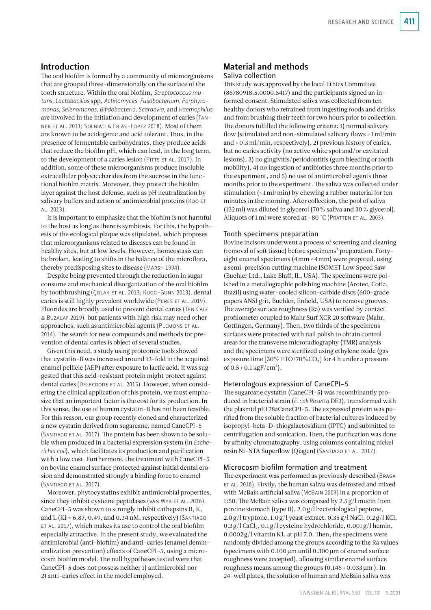# Introduction

The oral biofilm is formed by a community of microorganisms that are grouped three-dimensionally on the surface of the tooth structure. Within the oral biofilm, *Streptococcus mutans, Lactobacillus* spp, *Actinomyces, Fusobacterium, Porphyromonas, Selenomonas, Bifidobacteria, Scardovia,* and *Haemophilus* are involved in the initiation and development of caries (Tanner et al. 2011; Solbiati & Frias-Lopez 2018). Most of them are known to be acidogenic and acid tolerant. Thus, in the presence of fermentable carbohydrates, they produce acids that reduce the biofilm pH, which can lead, in the long term, to the development of a caries lesion (PITTS ET AL. 2017). In addition, some of these microorganisms produce insoluble extracellular polysaccharides from the sucrose in the functional biofilm matrix. Moreover, they protect the biofilm layer against the host defense, such as pH neutralization by salivary buffers and action of antimicrobial proteins (KOO ET al. 2013).

It is important to emphasize that the biofilm is not harmful to the host as long as there is symbiosis. For this, the hypothesis of the ecological plaque was stipulated, which proposes that microorganisms related to diseases can be found in healthy sites, but at low levels. However, homeostasis can be broken, leading to shifts in the balance of the microflora, thereby predisposing sites to disease (Marsh 1994).

Despite being prevented through the reduction in sugar consume and mechanical disorganization of the oral biofilm by toothbrushing (COLAK ET AL. 2013; RUGG-GUNN 2013), dental caries is still highly prevalent worldwide (Peres et al. 2019). Fluorides are broadly used to prevent dental caries (TEN CATE & Buzalaf 2019), but patients with high risk may need other approaches, such as antimicrobial agents (PLEMONS ET AL. 2014). The search for new compounds and methods for prevention of dental caries is object of several studies.

Given this need, a study using proteomic tools showed that cystatin-B was increased around 13-fold in the acquired enamel pellicle (AEP) after exposure to lactic acid. It was suggested that this acid-resistant protein might protect against dental caries (DELECRODE ET AL. 2015). However, when considering the clinical application of this protein, we must emphasize that an important factor is the cost for its production. In this sense, the use of human cystatin-B has not been feasible. For this reason, our group recently cloned and characterized a new cystatin derived from sugarcane, named CaneCPI-5 (Santiago et al. 2017). The protein has been shown to be soluble when produced in a bacterial expression system (in *Escherichia coli*), which facilitates its production and purification with a low cost. Furthermore, the treatment with CaneCPI-5 on bovine enamel surface protected against initial dental erosion and demonstrated strongly a binding force to enamel (Santiago et al. 2017).

Moreover, phytocystatins exhibit antimicrobial properties, since they inhibit cysteine peptidases (VAN WYK ET AL. 2016). CaneCPI-5 was shown to strongly inhibit cathepsins B, K, and L (Ki =  $6.87$ , 0.49, and 0.34 nM, respectively) (SANTIAGO et al. 2017), which makes its use to control the oral biofilm especially attractive. In the present study, we evaluated the antimicrobial (anti-biofilm) and anti-caries (enamel demineralization prevention) effects of CaneCPI-5, using a microcosm biofilm model. The null hypotheses tested were that CaneCPI-5 does not possess neither 1) antimicrobial nor 2) anti-caries effect in the model employed.

# Material and methods

## Saliva collection

This study was approved by the local Ethics Committee (86780918.5.0000.5417) and the participants signed an informed consent. Stimulated saliva was collected from ten healthy donors who refrained from ingesting foods and drinks and from brushing their teeth for two hours prior to collection. The donors fulfilled the following criteria: 1) normal salivary flow (stimulated and non-stimulated salivary flows > 1ml/min and >0.3ml/min, respectively), 2) previous history of caries, but no caries activity (no active white spot and/or cavitated lesions), 3) no gingivitis/periodontitis (gum bleeding or tooth mobility), 4) no ingestion of antibiotics three months prior to the experiment, and 5) no use of antimicrobial agents three months prior to the experiment. The saliva was collected under stimulation  $($  > 1 ml/min) by chewing a rubber material for ten minutes in the morning. After collection, the pool of saliva (132ml) was diluted in glycerol (70% saliva and 30% glycerol). Aliquots of 1 ml were stored at -80 °C (PRATTEN ET AL. 2003).

### Tooth specimens preparation

Bovine incisors underwent a process of screening and cleaning (removal of soft tissue) before specimens' preparation. Fortyeight enamel specimens (4mm×4mm) were prepared, using a semi-precision cutting machine ISOMET Low Speed Saw (Buehler Ltd., Lake Bluff, IL, USA). The specimens were polished in a metallographic polishing machine (Arotec, Cotia, Brazil) using water-cooled silicon-carbide discs (600-grade papers ANSI grit, Buehler, Enfield, USA) to remove grooves. The average surface roughness (Ra) was verified by contact profilometer coupled to Mahr Surf XCR 20 software (Mahr, Göttingen, Germany). Then, two thirds of the specimens surfaces were protected with nail polish to obtain control areas for the transverse microradiography (TMR) analysis and the specimens were sterilized using ethylene oxide (gas exposure time  $[30\% \text{ ETO}/70\% \text{CO}_2]$  for 4 h under a pressure of  $0.5 \pm 0.1 \,\mathrm{kgF/cm^2}$ ).

### Heterologous expression of CaneCPI-5

The sugarcane cystatin (CaneCPI-5) was recombinantly produced in bacterial strain (*E.coli Rosetta* DE3), transformed with the plasmid pET28aCaneCPI-5. The expressed protein was purified from the soluble fraction of bacterial cultures induced by isopropyl-beta-D-thiogalactosidium (IPTG) and submitted to centrifugation and sonication. Then, the purification was done by affinity chromatography, using columns containing nickel resin Ni-NTA Superflow (Qiagen) (SANTIAGO ET AL. 2017).

#### Microcosm biofilm formation and treatment

The experiment was performed as previously described (Braga et al. 2018). Firstly, the human saliva was defrosted and mixed with McBain artificial saliva (McBain 2009) in a proportion of 1:50. The McBain saliva was composed by 2.5 g/l mucin from porcine stomach (type II), 2.0g/l bacteriological peptone, 2.0g/l tryptone, 1.0g/l yeast extract, 0.35 g/l NaCl, 0.2 g/l KCl,  $0.2$  g/l CaCl<sub>2</sub>,  $0.1$  g/l cysteine hydrochloride,  $0.001$  g/l hemin, 0.0002 g/l vitamin K1, at pH 7.0. Then, the specimens were randomly divided among the groups according to the Ra values (specimens with  $0.100 \mu m$  until  $0.300 \mu m$  of enamel surface roughness were accepted), allowing similar enamel surface roughness means among the groups  $(0.146 \pm 0.033 \,\mu m)$ . In 24-well plates, the solution of human and McBain saliva was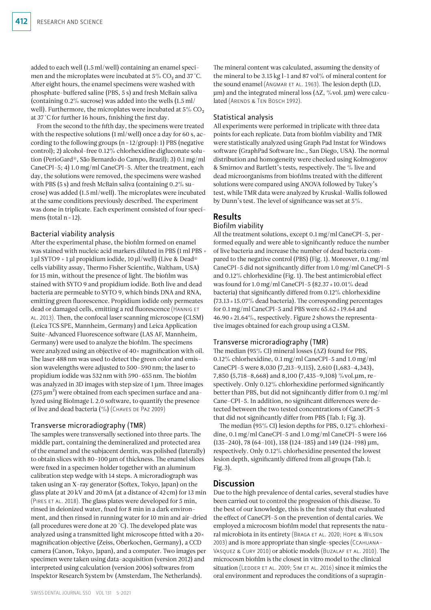added to each well (1.5ml/well) containing an enamel specimen and the microplates were incubated at  $5\%$  CO<sub>2</sub> and  $37$  °C. After eight hours, the enamel specimens were washed with phosphate-buffered saline (PBS, 5 s) and fresh McBain saliva (containing 0.2% sucrose) was added into the wells (1.5ml/ well). Furthermore, the microplates were incubated at  $5\%$  CO<sub>2</sub> at 37˚C for further 16 hours, finishing the first day.

From the second to the fifth day, the specimens were treated with the respective solutions (1ml/well) once a day for 60 s, according to the following groups  $(n=12/group): 1)$  PBS (negative control); 2) alcohol-free 0.12% chlorhexidine digluconate solution (PerioGard®, São Bernardo do Campo, Brazil); 3) 0.1mg/ml CaneCPI-5; 4) 1.0mg/ml CaneCPI-5. After the treatment, each day, the solutions were removed, the specimens were washed with PBS (5 s) and fresh McBain saliva (containing 0.2% sucrose) was added (1.5ml/well). The microplates were incubated at the same conditions previously described. The experiment was done in triplicate. Each experiment consisted of four specimens (total  $n=12$ ).

### Bacterial viability analysis

After the experimental phase, the biofilm formed on enamel was stained with nucleic acid markers diluted in PBS (1 ml PBS 1µl SYTO9 + 1µl propidium iodide, 10µl/well) (Live & Dead® cells viability assay, Thermo Fisher Scientific, Waltham, USA) for 15 min, without the presence of light. The biofilm was stained with SYTO 9 and propidium iodide. Both live and dead bacteria are permeable to SYTO 9, which binds DNA and RNA, emitting green fluorescence. Propidium iodide only permeates dead or damaged cells, emitting a red fluorescence (HANNIG ET al. 2013). Then, the confocal laser scanning microscope (CLSM) (Leica TCS SPE, Mannheim, Germany) and Leica Application Suite-Advanced Fluorescence software (LAS AF, Mannheim, Germany) were used to analyze the biofilm. The specimens were analyzed using an objective of 40× magnification with oil. The laser 488nm was used to detect the green color and emission wavelengths were adjusted to 500–590nm; the laser to propidium iodide was 532nm with 590–655nm. The biofilm was analyzed in 3D images with step size of 1μm. Three images  $(275 \,\mu m^2)$  were obtained from each specimen surface and analyzed using BioImage L 2.0 software, to quantify the presence of live and dead bacteria  $(\frac{0}{0})$  (CHAVES DE PAZ 2009)

# Transverse microradiography (TMR)

The samples were transversally sectioned into three parts. The middle part, containing the demineralized and protected area of the enamel and the subjacent dentin, was polished (laterally) to obtain slices with 80–100µm of thickness. The enamel slices were fixed in a specimen holder together with an aluminum calibration step wedge with 14 steps. A microradiograph was taken using an X-ray generator (Softex, Tokyo, Japan) on the glass plate at 20kV and 20mA (at a distance of 42 cm) for 13 min (Pires et al. 2018). The glass plates were developed for 5 min, rinsed in deionized water, fixed for 8 min in a dark environment, and then rinsed in running water for 10 min and air-dried (all procedures were done at 20 °C). The developed plate was analyzed using a transmitted light microscope fitted with a 20× magnification objective (Zeiss, Oberkochen, Germany), a CCD camera (Canon, Tokyo, Japan), and a computer. Two images per specimen were taken using data-acquisition (version 2012) and interpreted using calculation (version 2006) softwares from Inspektor Research System bv (Amsterdam, The Netherlands).

The mineral content was calculated, assuming the density of the mineral to be 3.15 kg l-1 and 87 vol $\%$  of mineral content for the sound enamel (Angmar et al. 1963). The lesion depth (LD, µm) and the integrated mineral loss (∆Z, %vol. µm) were calculated (ARENDS & TEN BOSCH 1992).

### Statistical analysis

All experiments were performed in triplicate with three data points for each replicate. Data from biofilm viability and TMR were statistically analyzed using Graph Pad Instat for Windows software (GraphPad Software Inc., San Diego, USA). The normal distribution and homogeneity were checked using Kolmogorov & Smirnov and Bartlett's tests, respectively. The % live and dead microorganisms from biofilms treated with the different solutions were compared using ANOVA followed by Tukey's test, while TMR data were analyzed by Kruskal-Wallis followed by Dunn's test. The level of significance was set at 5%.

# Results

### Biofilm viability

All the treatment solutions, except 0.1mg/ml CaneCPI-5, performed equally and were able to significantly reduce the number of live bacteria and increase the number of dead bacteria compared to the negative control (PBS) (Fig. 1). Moreover, 0.1mg/ml CaneCPI-5 did not significantly differ from 1.0mg/ml CaneCPI-5 and 0.12% chlorhexidine (Fig. 1). The best antimicrobial effect was found for 1.0 mg/ml CaneCPI-5 (82.37  $\pm$  10.01% dead bacteria) that significantly differed from 0.12% chlorhexidine  $(73.13 \pm 15.07\%$  dead bacteria). The corresponding percentages for  $0.1 \,\mathrm{mg/ml}$  CaneCPI-5 and PBS were  $65.62 \pm 19.64$  and  $46.90 \pm 21.64\%$ , respectively. Figure 2 shows the representative images obtained for each group using a CLSM.

# Transverse microradiography (TMR)

The median (95% CI) mineral losses (∆Z) found for PBS, 0.12% chlorhexidine, 0.1mg/ml CaneCPI-5 and 1.0mg/ml CaneCPI-5 were 8,030 (7,213–9,115), 2,610 (1,683–4,343), 7,850 (5,718–8,668) and 8,100 (7,435–9,108) %vol.µm, respectively. Only 0.12% chlorhexidine performed significantly better than PBS, but did not significantly differ from 0.1mg/ml Cane-CPI-5. In addition, no significant differences were detected between the two tested concentrations of CaneCPI-5 that did not significantly differ from PBS (Tab.I; Fig.3).

The median (95% CI) lesion depths for PBS, 0.12% chlorhexidine, 0.1 mg/ml CaneCPI-5 and 1.0 mg/ml CaneCPI-5 were 166  $(135-240)$ , 78  $(64-101)$ , 158  $(124-185)$  and 149  $(124-198)$  µm, respectively. Only 0.12% chlorhexidine presented the lowest lesion depth, significantly differed from all groups (Tab.I; Fig.3).

# **Discussion**

Due to the high prevalence of dental caries, several studies have been carried out to control the progression of this disease. To the best of our knowledge, this is the first study that evaluated the effect of CaneCPI-5 on the prevention of dental caries. We employed a microcosm biofilm model that represents the natural microbiota in its entirety (Braga et al. 2020; Hope & Wilson 2003) and is more appropriate than single-species (Ccahuana-Vasquez & Cury 2010) or abiotic models (Buzalaf et al. 2010). The microcosm biofilm is the closest in vitro model to the clinical situation (LEDDER ET AL. 2009; SIM ET AL. 2016) since it mimics the oral environment and reproduces the conditions of a supragin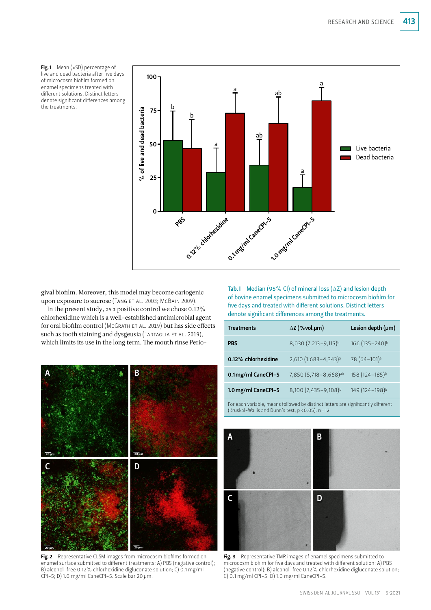Fig.1 Mean  $(*SD)$  percentage of live and dead bacteria after five days of microcosm biofilm formed on enamel specimens treated with different solutions. Distinct letters denote significant differences among



gival biofilm. Moreover, this model may become cariogenic upon exposure to sucrose (TANG ET AL. 2003; MCBAIN 2009).

In the present study, as a positive control we chose 0.12% chlorhexidine which is a well-established antimicrobial agent for oral biofilm control (MCGRATH ET AL. 2019) but has side effects such as tooth staining and dysgeusia (TARTAGLIA ET AL. 2019), which limits its use in the long term. The mouth rinse Perio-



| <b>Treatments</b>   | $\Delta$ Z (%vol.µm)                | Lesion depth $(\mu m)$       |
|---------------------|-------------------------------------|------------------------------|
| <b>PBS</b>          | 8,030 (7,213-9,115) <sup>b</sup>    | 166 (135 - 240) <sup>b</sup> |
| 0.12% chlorhexidine | $2,610(1,683-4,343)a$               | $78(64-101)$ <sup>a</sup>    |
| 0.1mg/ml CaneCPI-5  | 7,850 (5,718 - 8,668) <sup>ab</sup> | 158 (124-185)b               |
| 1.0 mg/ml CaneCPI-5 | 8,100 (7,435 - 9,108) <sup>b</sup>  | 149 (124-198) <sup>b</sup>   |

For each variable, means followed by distinct letters are significantly different (Kruskal-Wallis and Dunn's test,  $p < 0.05$ ). n = 12



Fig. 3 Representative TMR images of enamel specimens submitted to microcosm biofilm for five days and treated with different solution: A) PBS (negative control); B) alcohol-free 0.12% chlorhexidine digluconate solution;  $\overrightarrow{C}$ ) 0.1 mg/ml CPI-5; D) 1.0 mg/ml CaneCPI-5.



Fig. 2 Representative CLSM images from microcosm biofilms formed on enamel surface submitted to different treatments: A) PBS (negative control); B) alcohol-free 0.12% chlorhexidine digluconate solution; C) 0.1 mg/ml  $C$ PI-5; D) 1.0 mg/ml CaneCPI-5. Scale bar 20  $\mu$ m.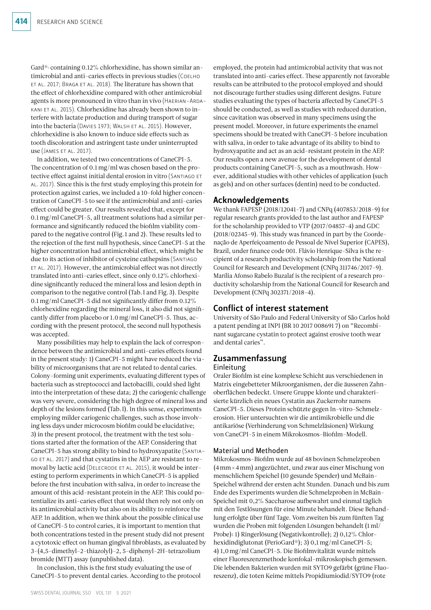Gard®, containing 0.12% chlorhexidine, has shown similar antimicrobial and anti-caries effects in previous studies (Coelho et al. 2017; Braga et al. 2018). The literature has shown that the effect of chlorhexidine compared with other antimicrobial agents is more pronounced in vitro than in vivo (Haerian-Ardakani et al. 2015). Chlorhexidine has already been shown to interfere with lactate production and during transport of sugar into the bacteria (Davies 1973; Walsh et al. 2015). However, chlorhexidine is also known to induce side effects such as tooth discoloration and astringent taste under uninterrupted use (James et al. 2017).

In addition, we tested two concentrations of CaneCPI-5. The concentration of 0.1mg/ml was chosen based on the protective effect against initial dental erosion in vitro (Santiago et al. 2017). Since this is the first study employing this protein for protection against caries, we included a 10-fold higher concentration of CaneCPI-5 to see if the antimicrobial and anti-caries effect could be greater. Our results revealed that, except for 0.1mg/ml CaneCPI-5, all treatment solutions had a similar performance and significantly reduced the biofilm viability compared to the negative control (Fig. 1 and 2). These results led to the rejection of the first null hypothesis, since CaneCPI-5 at the higher concentration had antimicrobial effect, which might be due to its action of inhibitor of cysteine cathepsins (Santiago et al. 2017). However, the antimicrobial effect was not directly translated into anti-caries effect, since only 0.12% chlorhexidine significantly reduced the mineral loss and lesion depth in comparison to the negative control (Tab.I and Fig.3). Despite 0.1mg/ml CaneCPI-5 did not significantly differ from 0.12% chlorhexidine regarding the mineral loss, it also did not significantly differ from placebo or 1.0mg/ml CaneCPI-5. Thus, according with the present protocol, the second null hypothesis was accepted.

Many possibilities may help to explain the lack of correspondence between the antimicrobial and anti-caries effects found in the present study: 1) CaneCPI-5 might have reduced the viability of microorganisms that are not related to dental caries. Colony-forming unit experiments, evaluating different types of bacteria such as streptococci and lactobacilli, could shed light into the interpretation of these data; 2) the cariogenic challenge was very severe, considering the high degree of mineral loss and depth of the lesions formed (Tab.I). In this sense, experiments employing milder cariogenic challenges, such as those involving less days under microcosm biofilm could be elucidative; 3) in the present protocol, the treatment with the test solutions started after the formation of the AEP. Considering that CaneCPI-5 has strong ability to bind to hydroxyapatite (Santiago et al. 2017) and that cystatins in the AEP are resistant to removal by lactic acid (DELECRODE ET AL. 2015), it would be interesting to perform experiments in which CaneCPI-5 is applied before the first incubation with saliva, in order to increase the amount of this acid-resistant protein in the AEP. This could potentialize its anti-caries effect that would then rely not only on its antimicrobial activity but also on its ability to reinforce the AEP. In addition, when we think about the possible clinical use of CaneCPI-5 to control caries, it is important to mention that both concentrations tested in the present study did not present a cytotoxic effect on human gingival fibroblasts, as evaluated by 3-(4,5-dimethyl-2-thiazolyl)-2, 5-diphenyl-2H-tetrazolium bromide (MTT) assay (unpublished data).

In conclusion, this is the first study evaluating the use of CaneCPI-5 to prevent dental caries. According to the protocol employed, the protein had antimicrobial activity that was not translated into anti-caries effect. These apparently not favorable results can be attributed to the protocol employed and should not discourage further studies using different designs. Future studies evaluating the types of bacteria affected by CaneCPI-5 should be conducted, as well as studies with reduced duration, since cavitation was observed in many specimens using the present model. Moreover, in future experiments the enamel specimens should be treated with CaneCPI-5 before incubation with saliva, in order to take advantage of its ability to bind to hydroxyapatite and act as an acid-resistant protein in the AEP. Our results open a new avenue for the development of dental products containing CaneCPI-5, such as a mouthwash. However, additional studies with other vehicles of application (such as gels) and on other surfaces (dentin) need to be conducted.

# Acknowledgements

We thank FAPESP (2018/12041-7) and CNPq (407853/2018-9) for regular research grants provided to the last author and FAPESP for the scholarship provided to VTP (2017/04857-4) and GDC (2018/02345-9). This study was financed in part by the Coordenação de Aperfeiçoamento de Pessoal de Nível Superior (CAPES), Brazil, under finance code 001. Flávio Henrique-Silva is the recipient of a research productivity scholarship from the National Council for Research and Development (CNPq 311746/2017-9). Marília Afonso Rabelo Buzalaf is the recipient of a research productivity scholarship from the National Council for Research and Development (CNPq 302371/2018-4).

# Conflict of interest statement

University of São Paulo and Federal University of São Carlos hold a patent pending at INPI (BR 10 2017 008691 7) on "Recombinant sugarcane cystatin to protect against erosive tooth wear and dental caries".

# Zusammenfassung

#### Einleitung

Oraler Biofilm ist eine komplexe Schicht aus verschiedenen in Matrix eingebetteter Mikroorganismen, der die äusseren Zahnoberflächen bedeckt. Unsere Gruppe klonte und charakterisierte kürzlich ein neues Cystatin aus Zuckerrohr namens CaneCPI-5. Dieses Protein schützte gegen In-vitro-Schmelzerosion. Hier untersuchten wir die antimikrobielle und die antikariöse (Verhinderung von Schmelzläsionen) Wirkung von CaneCPI-5 in einem Mikrokosmos-Biofilm-Modell.

### Material und Methoden

Mikrokosmos-Biofilm wurde auf 48 bovinen Schmelzproben (4mm×4mm) angezüchtet, und zwar aus einer Mischung von menschlichem Speichel (10 gesunde Spender) und McBain-Speichel während der ersten acht Stunden. Danach und bis zum Ende des Experiments wurden die Schmelzproben in McBain-Speichel mit 0,2% Saccharose aufbewahrt und einmal täglich mit den Testlösungen für eine Minute behandelt. Diese Behandlung erfolgte über fünf Tage. Vom zweiten bis zum fünften Tag wurden die Proben mit folgenden Lösungen behandelt (1ml/ Probe): 1) Ringerlösung (Negativkontrolle); 2) 0,12% Chlorhexidindiglutonat (PerioGard®); 3) 0,1mg/ml CaneCPI-5; 4) 1,0mg/ml CaneCPI-5. Die Biofilmvitalität wurde mittels einer Fluoreszenzmethode konfokal-mikroskopisch gemessen. Die lebenden Bakterien wurden mit SYTO9 gefärbt (grüne Fluoreszenz), die toten Keime mittels Propidiumiodid/SYTO9 (rote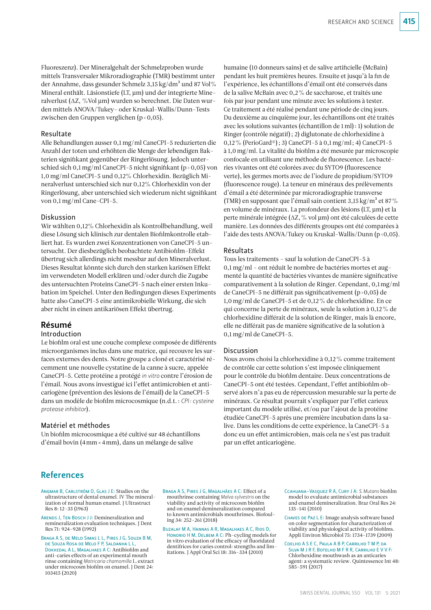Fluoreszenz). Der Mineralgehalt der Schmelzproben wurde mittels Transversaler Mikroradiographie (TMR) bestimmt unter der Annahme, dass gesunder Schmelz 3,15 kg/dm<sup>3</sup> und 87 Vol% Mineral enthält. Läsionstiefe (LT, µm) und der integrierte Mineralverlust (∆Z, %Vol µm) wurden so berechnet. Die Daten wurden mittels ANOVA/Tukey- oder Kruskal-Wallis/Dunn-Tests zwischen den Gruppen verglichen (p<0,05).

### Resultate

Alle Behandlungen ausser 0,1mg/ml CaneCPI-5 reduzierten die Anzahl der toten und erhöhten die Menge der lebendigen Bakterien signifikant gegenüber der Ringerlösung. Jedoch unterschied sich 0,1 mg/ml CaneCPI-5 nicht signifikant (p>0,05) von 1,0mg/ml CaneCPI-5 und 0,12% Chlorhexidin. Bezüglich Mineralverlust unterschied sich nur 0,12% Chlorhexidin von der Ringerlösung, aber unterschied sich wiederum nicht signifikant von 0,1mg/ml Cane-CPI-5.

#### Diskussion

Wir wählten 0,12% Chlorhexidin als Kontrollbehandlung, weil diese Lösung sich klinisch zur dentalen Biofilmkontrolle etabliert hat. Es wurden zwei Konzentrationen von CaneCPI-5 untersucht. Der diesbezüglich beobachtete Antibiofilm-Effekt übertrug sich allerdings nicht messbar auf den Mineralverlust. Dieses Resultat könnte sich durch den starken kariösen Effekt im verwendeten Modell erklären und/oder durch die Zugabe des untersuchten Proteins CaneCPI-5 nach einer ersten Inkubation im Speichel. Unter den Bedingungen dieses Experiments hatte also CaneCPI-5 eine antimikrobielle Wirkung, die sich aber nicht in einen antikariösen Effekt übertrug.

# Résumé

#### Introduction

Le biofilm oral est une couche complexe composée de différents microorganismes inclus dans une matrice, qui recouvre les surfaces externes des dents. Notre groupe a cloné et caractérisé récemment une nouvelle cystatine de la canne à sucre, appelée CaneCPI-5. Cette protéine a protégé *in vitro* contre l'érosion de l'émail. Nous avons investigué ici l'effet antimicrobien et anticariogène (prévention des lésions de l'émail) de la CaneCPI-5 dans un modèle de biofilm microcosmique (n.d.t.: *CPI: cysteine protease inhibitor*).

#### Matériel et méthodes

Un biofilm microcosmique a été cultivé sur 48 échantillons d'émail bovin (4mm×4mm), dans un mélange de salive

humaine (10 donneurs sains) et de salive artificielle (McBain) pendant les huit premières heures. Ensuite et jusqu'à la fin de l'expérience, les échantillons d'émail ont été conservés dans de la salive McBain avec 0,2% de saccharose, et traités une fois par jour pendant une minute avec les solutions à tester. Ce traitement a été réalisé pendant une période de cinq jours. Du deuxième au cinquième jour, les échantillons ont été traités avec les solutions suivantes (échantillon de 1ml): 1) solution de Ringer (contrôle négatif); 2) diglutonate de chlorhexidine à 0,12% (PerioGard®); 3) CaneCPI-5 à 0,1mg/ml; 4) CaneCPI-5 à 1,0mg/ml. La vitalité du biofilm a été mesurée par microscopie confocale en utilisant une méthode de fluorescence. Les bactéries vivantes ont été colorées avec du SYTO9 (fluorescence verte), les germes morts avec de l'iodure de propidium/SYTO9 (fluorescence rouge). La teneur en minéraux des prélèvements d'émail a été déterminée par microradiographie transverse (TMR) en supposant que l'émail sain contient 3,15 kg/m<sup>3</sup> et 87% en volume de minéraux. La profondeur des lésions (LT, µm) et la perte minérale intégrée (∆Z,% vol µm) ont été calculées de cette manière. Les données des différents groupes ont été comparées à l'aide des tests ANOVA/Tukey ou Kruskal-Wallis/Dunn (p<0,05).

### Résultats

Tous les traitements – sauf la solution de CaneCPI-5 à 0,1mg/ml – ont réduit le nombre de bactéries mortes et augmenté la quantité de bactéries vivantes de manière significative comparativement à la solution de Ringer. Cependant, 0,1mg/ml de CaneCPI-5 ne différait pas significativement (p>0,05) de 1,0mg/ml de CaneCPI-5 et de 0,12% de chlorhexidine. En ce qui concerne la perte de minéraux, seule la solution à 0,12% de chlorhexidine différait de la solution de Ringer, mais là encore, elle ne différait pas de manière significative de la solution à 0,1mg/ml de CaneCPI-5.

#### **Discussion**

Nous avons choisi la chlorhexidine à 0,12% comme traitement de contrôle car cette solution s'est imposée cliniquement pour le contrôle du biofilm dentaire. Deux concentrations de CaneCPI-5 ont été testées. Cependant, l'effet antibiofilm observé alors n'a pas eu de répercussion mesurable sur la perte de minéraux. Ce résultat pourrait s'expliquer par l'effet carieux important du modèle utilisé, et/ou par l'ajout de la protéine étudiée CaneCPI-5 après une première incubation dans la salive. Dans les conditions de cette expérience, la CaneCPI-5 a donc eu un effet antimicrobien, mais cela ne s'est pas traduit par un effet anticariogène.

# References

- Angmar B, Carlström D, Glas J E: Studies on the ultrastructure of dental enamel. IV The mineralization of normal human enamel. J Ultrastruct Res 8: 12–33 (1963)
- ARENDS J, TEN BOSCH J J: Demineralization and remineralization evaluation techniques. J Dent Res 71: 924–928 (1992)

Braga A S, de Melo Simas L L, Pires J G, Souza B M, de Souza Rosa de Melo F P, Saldanha L L, Dokkedal A L, Magalhaes A C: Antibiofilm and anti-caries effects of an experimental mouth rinse containing *Matricaria chamomilla* L. extract under microcosm biofilm on enamel. J Dent 24: 103415 (2020)

Braga A S, Pires J G, Magalhães A C: Effect of a mouthrinse containing *Malva sylvestris* on the viability and activity of microcosm biofilm and on enamel demineralization compared to known antimicrobials mouthrinses. Biofouling 34: 252–261 (2018)

Buzalaf M A, Hannas A R, Magalhaes A C, Rios D, Honorio H M, Delbem A C: Ph-cycling models for in vitro evaluation of the efficacy of fluoridated dentifrices for caries control: strengths and limitations. J Appl Oral Sci 18: 316–334 (2010)

- Ccahuana-Vasquez R A, Cury J A: *S.Mutans* biofilm model to evaluate antimicrobial substances and enamel demineralization. Braz Oral Res 24: 135–141 (2010)
- Chaves de Paz L E: Image analysis software based on color segmentation for characterization of viability and physiological activity of biofilms. Appli Environ Microbiol 75: 1734–1739 (2009)

COELHO A S E C, PAULA A B P, CARRILHO T M P, D Silva M J R F, Botelho M F R R, Carrilho E V V F: Chlorhexidine mouthwash as an anticaries agent: a systematic review. Quintessence Int 48: 585–591 (2017)